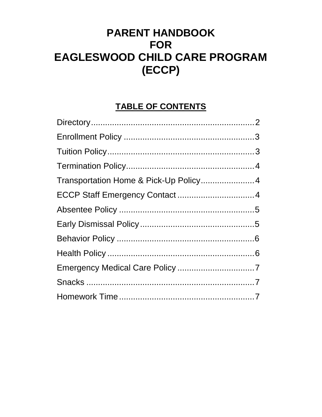# **PARENT HANDBOOK FOR** EAGLESWOOD CHILD CARE PROGRAM (ECCP)

## **TABLE OF CONTENTS**

| Transportation Home & Pick-Up Policy4 |  |
|---------------------------------------|--|
|                                       |  |
|                                       |  |
|                                       |  |
|                                       |  |
|                                       |  |
|                                       |  |
|                                       |  |
|                                       |  |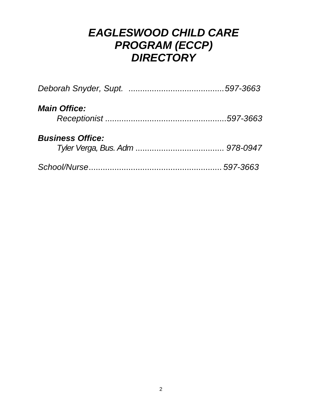## *EAGLESWOOD CHILD CARE PROGRAM (ECCP) DIRECTORY*

| <b>Main Office:</b>     |  |
|-------------------------|--|
| <b>Business Office:</b> |  |
|                         |  |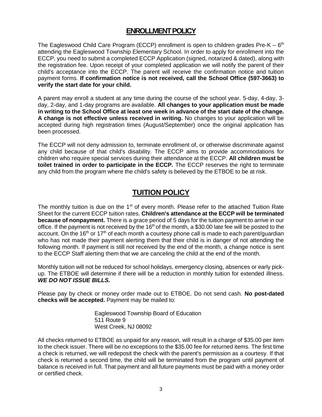#### **ENROLLMENT POLICY**

The Eagleswood Child Care Program (ECCP) enrollment is open to children grades Pre-K  $-$  6<sup>th</sup> attending the Eagleswood Township Elementary School. In order to apply for enrollment into the ECCP, you need to submit a completed ECCP Application (signed, notarized & dated), along with the registration fee. Upon receipt of your completed application we will notify the parent of their child's acceptance into the ECCP. The parent will receive the confirmation notice and tuition payment forms. **If confirmation notice is not received, call the School Office (597-3663) to verify the start date for your child.**

A parent may enroll a student at any time during the course of the school year. 5-day, 4-day, 3 day, 2-day, and 1-day programs are available. **All changes to your application must be made in writing to the School Office at least one week in advance of the start date of the change. A change is not effective unless received in writing.** No changes to your application will be accepted during high registration times (August/September) once the original application has been processed.

The ECCP will not deny admission to, terminate enrollment of, or otherwise discriminate against any child because of that child's disability. The ECCP aims to provide accommodations for children who require special services during their attendance at the ECCP. **All children must be toilet trained in order to participate in the ECCP.** The ECCP reserves the right to terminate any child from the program where the child's safety is believed by the ETBOE to be at risk.

### **TUITION POLICY**

The monthly tuition is due on the  $1<sup>st</sup>$  of every month. Please refer to the attached Tuition Rate Sheet for the current ECCP tuition rates. **Children's attendance at the ECCP will be terminated because of nonpayment.** There is a grace period of 5 days for the tuition payment to arrive in our office. If the payment is not received by the  $16<sup>th</sup>$  of the month, a \$30.00 late fee will be posted to the account. On the 16<sup>th</sup> or 17<sup>th</sup> of each month a courtesy phone call is made to each parent/guardian who has not made their payment alerting them that their child is in danger of not attending the following month. If payment is still not received by the end of the month, a change notice is sent to the ECCP Staff alerting them that we are canceling the child at the end of the month.

Monthly tuition will not be reduced for school holidays, emergency closing, absences or early pickup. The ETBOE will determine if there will be a reduction in monthly tuition for extended illness. *WE DO NOT ISSUE BILLS.*

Please pay by check or money order made out to ETBOE. Do not send cash. **No post-dated checks will be accepted.** Payment may be mailed to:

> Eagleswood Township Board of Education 511 Route 9 West Creek, NJ 08092

All checks returned to ETBOE as unpaid for any reason, will result in a charge of \$35.00 per item to the check issuer. There will be no exceptions to the \$35.00 fee for returned items. The first time a check is returned, we will redeposit the check with the parent's permission as a courtesy. If that check is returned a second time, the child will be terminated from the program until payment of balance is received in full. That payment and all future payments must be paid with a money order or certified check.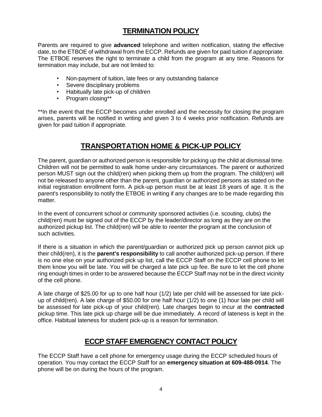### **TERMINATION POLICY**

Parents are required to give **advanced** telephone and written notification, stating the effective date, to the ETBOE of withdrawal from the ECCP. Refunds are given for paid tuition if appropriate. The ETBOE reserves the right to terminate a child from the program at any time. Reasons for termination may include, but are not limited to:

- Non-payment of tuition, late fees or any outstanding balance
- Severe disciplinary problems
- Habitually late pick-up of children
- Program closing\*\*

\*\*In the event that the ECCP becomes under enrolled and the necessity for closing the program arises, parents will be notified in writing and given 3 to 4 weeks prior notification. Refunds are given for paid tuition if appropriate.

#### **TRANSPORTATION HOME & PICK-UP POLICY**

The parent, guardian or authorized person is responsible for picking up the child at dismissal time. Children will not be permitted to walk home under-any circumstances. The parent or authorized person MUST sign out the child(ren) when picking them up from the program. The child(ren) will not be released to anyone other than the parent, guardian or authorized persons as stated on the initial registration enrollment form. A pick-up person must be at least 18 years of age. It is the parent's responsibility to notify the ETBOE in writing if any changes are to be made regarding this matter.

In the event of concurrent school or community sponsored activities (i.e. scouting, clubs) the child(ren) must be signed out of the ECCP by the leader/director as long as they are on the authorized pickup list. The child(ren) will be able to reenter the program at the conclusion of such activities.

If there is a situation in which the parent/guardian or authorized pick up person cannot pick up their child(ren), it is the **parent's responsibility** to call another authorized pick-up person. If there is no one else on your authorized pick up list, call the ECCP Staff on the ECCP cell phone to let them know you will be late. You will be charged a late pick up fee. Be sure to let the cell phone ring enough times in order to be answered because the ECCP Staff may not be in the direct vicinity of the cell phone.

A late charge of \$25.00 for up to one half hour (1/2) late per child will be assessed for late pickup of child(ren). A late charge of \$50.00 for one half hour (1/2) to one (1) hour late per child will be assessed for late pick-up of your child(ren). Late charges begin to incur at the **contracted**  pickup time. This late pick up charge will be due immediately. A record of lateness is kept in the office. Habitual lateness for student pick-up is a reason for termination.

#### **ECCP STAFF EMERGENCY CONTACT POLICY**

The ECCP Staff have a cell phone for emergency usage during the ECCP scheduled hours of operation. You may contact the ECCP Staff for an **emergency situation at 609-488-0914**. The phone will be on during the hours of the program.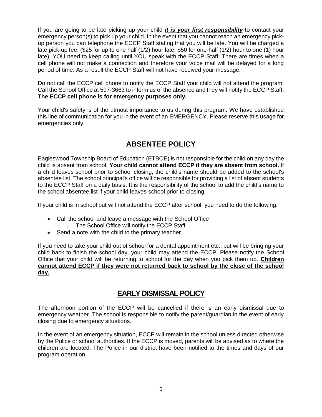If you are going to be late picking up your child *it is your first responsibility* to contact your emergency person(s) to pick up your child. In the event that you cannot reach an emergency pickup person you can telephone the ECCP Staff stating that you will be late. You will be charged a late pick-up fee. (\$25 for up to one half (1/2) hour late, \$50 for one-half (1/2) hour to one (1) hour late). YOU need to keep calling until YOU speak with the ECCP Staff. There are times when a cell phone will not make a connection and therefore your voice mail will be delayed for a long period of time. As a result the ECCP Staff will not have received your message.

Do not call the ECCP cell phone to notify the ECCP Staff your child will not attend the program. Call the School Office at 597-3663 to inform us of the absence and they will notify the ECCP Staff. **The ECCP cell phone is for emergency purposes only.**

Your child's safety is of the utmost importance to us during this program. We have established this line of communication for you in the event of an EMERGENCY. Please reserve this usage for emergencies only.

### **ABSENTEE POLICY**

Eagleswood Township Board of Education (ETBOE) is not responsible for the child on any day the child is absent from school. **Your child cannot attend ECCP if they are absent from school.** If a child leaves school prior to school closing, the child's name should be added to the school's absentee list. The school principal's office will be responsible for providing a list of absent students to the ECCP Staff on a daily basis. It is the responsibility of the school to add the child's name to the school absentee list if your child leaves school prior to closing.

If your child is in school but will not attend the ECCP after school, you need to do the following:

- Call the school and leave a message with the School Office
	- o The School Office will notify the ECCP Staff
- Send a note with the child to the primary teacher

If you need to take your child out of school for a dental appointment etc., but will be bringing your child back to finish the school day, your child may attend the ECCP. Please notify the School Office that your child will be returning to school for the day when you pick them up. **Children cannot attend ECCP if they were not returned back to school by the close of the school day.**

#### **EARLY DISMISSAL POLICY**

The afternoon portion of the ECCP will be cancelled if there is an early dismissal due to emergency weather. The school is responsible to notify the parent/guardian in the event of early closing due to emergency situations.

In the event of an emergency situation, ECCP will remain in the school unless directed otherwise by the Police or school authorities. If the ECCP is moved, parents will be advised as to where the children are located. The Police in our district have been notified to the times and days of our program operation.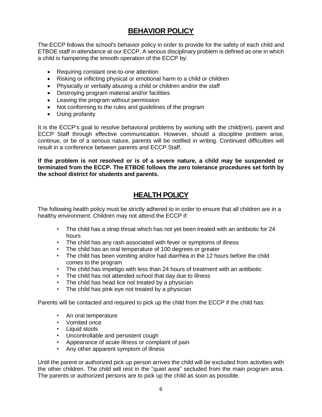## **BEHAVIOR POLICY**

The ECCP follows the school's behavior policy in order to provide for the safety of each child and ETBOE staff in attendance at our ECCP. A serious disciplinary problem is defined as one in which a child is hampering the smooth operation of the ECCP by:

- Requiring constant one-to-one attention
- Risking or inflicting physical or emotional harm to a child or children
- Physically or verbally abusing a child or children and/or the staff
- Destroying program material and/or facilities
- Leaving the program without permission
- Not conforming to the rules and guidelines of the program
- Using profanity

It is the ECCP's goal to resolve behavioral problems by working with the child(ren), parent and ECCP Staff through effective communication. However, should a discipline problem arise, continue, or be of a serious nature, parents will be notified in writing. Continued difficulties will result in a conference between parents and ECCP Staff.

**If the problem is not resolved or is of a severe nature, a child may be suspended or terminated from the ECCP. The ETBOE follows the zero tolerance procedures set forth by the school district for students and parents.**

#### **HEALTH POLICY**

The following health policy must be strictly adhered to in order to ensure that all children are in a healthy environment. Children may not attend the ECCP if:

- The child has a strep throat which has not yet been treated with an antibiotic for 24 hours
- The child has any rash associated with fever or symptoms of illness
- The child has an oral temperature of 100 degrees or greater
- The child has been vomiting and/or had diarrhea in the 12 hours before the child comes to the program
- The child has impetigo with less than 24 hours of treatment with an antibiotic
- The child has not attended school that day due to illness
- The child has head lice not treated by a physician
- The child has pink eye not treated by a physician

Parents will be contacted and required to pick up the child from the ECCP if the child has:

- An oral temperature
- Vomited once
- Liquid stools
- Uncontrollable and persistent cough
- Appearance of acute illness or complaint of pain
- Any other apparent symptom of illness

Until the parent or authorized pick up person arrives the child will be excluded from activities with the other children. The child will rest in the "quiet area" secluded from the main program area. The parents or authorized persons are to pick up the child as soon as possible.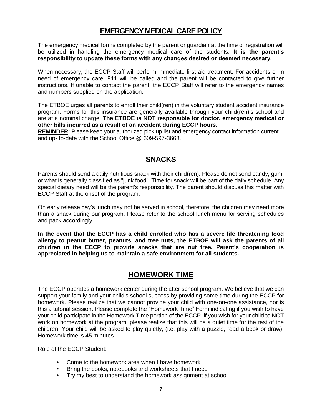#### **EMERGENCY MEDICAL CARE POLICY**

The emergency medical forms completed by the parent or guardian at the time of registration will be utilized in handling the emergency medical care of the students. **It is the parent's responsibility to update these forms with any changes desired or deemed necessary.**

When necessary, the ECCP Staff will perform immediate first aid treatment. For accidents or in need of emergency care, 911 will be called and the parent will be contacted to give further instructions. If unable to contact the parent, the ECCP Staff will refer to the emergency names and numbers supplied on the application.

The ETBOE urges all parents to enroll their child(ren) in the voluntary student accident insurance program. Forms for this insurance are generally available through your child(ren)'s school and are at a nominal charge. **The ETBOE is NOT responsible for doctor, emergency medical or other bills incurred as a result of an accident during ECCP hours.**

**REMINDER:** Please keep your authorized pick up list and emergency contact information current and up- to-date with the School Office @ 609-597-3663.

#### **SNACKS**

Parents should send a daily nutritious snack with their child(ren). Please do not send candy, gum, or what is generally classified as "junk food". Time for snack will be part of the daily schedule. Any special dietary need will be the parent's responsibility. The parent should discuss this matter with ECCP Staff at the onset of the program.

On early release day's lunch may not be served in school, therefore, the children may need more than a snack during our program. Please refer to the school lunch menu for serving schedules and pack accordingly.

**In the event that the ECCP has a child enrolled who has a severe life threatening food allergy to peanut butter, peanuts, and tree nuts, the ETBOE will ask the parents of all children in the ECCP to provide snacks that are nut free. Parent's cooperation is appreciated in helping us to maintain a safe environment for all students.**

#### **HOMEWORK TIME**

The ECCP operates a homework center during the after school program. We believe that we can support your family and your child's school success by providing some time during the ECCP for homework. Please realize that we cannot provide your child with one-on-one assistance, nor is this a tutorial session. Please complete the "Homework Time" Form indicating if you wish to have your child participate in the Homework Time portion of the ECCP. lf you wish for your child to NOT work on homework at the program, please realize that this will be a quiet time for the rest of the children. Your child will be asked to play quietly, (i.e. play with a puzzle, read a book or draw). Homework time is 45 minutes.

#### Role of the ECCP Student:

- Come to the homework area when I have homework
- Bring the books, notebooks and worksheets that I need
- Try my best to understand the homework assignment at school